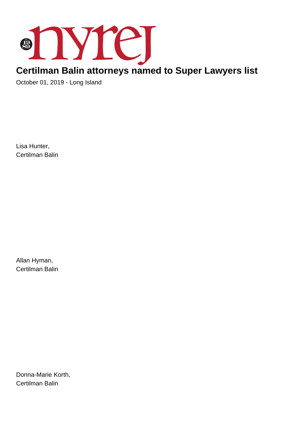

## **Certilman Balin attorneys named to Super Lawyers list**

October 01, 2019 - Long Island

Lisa Hunter, Certilman Balin

Allan Hyman, Certilman Balin

Donna-Marie Korth, Certilman Balin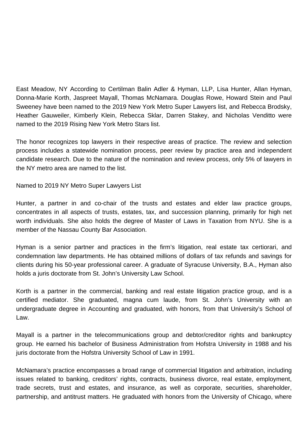East Meadow, NY According to Certilman Balin Adler & Hyman, LLP, Lisa Hunter, Allan Hyman, Donna-Marie Korth, Jaspreet Mayall, Thomas McNamara. Douglas Rowe, Howard Stein and Paul Sweeney have been named to the 2019 New York Metro Super Lawyers list, and Rebecca Brodsky, Heather Gauweiler, Kimberly Klein, Rebecca Sklar, Darren Stakey, and Nicholas Venditto were named to the 2019 Rising New York Metro Stars list.

The honor recognizes top lawyers in their respective areas of practice. The review and selection process includes a statewide nomination process, peer review by practice area and independent candidate research. Due to the nature of the nomination and review process, only 5% of lawyers in the NY metro area are named to the list.

Named to 2019 NY Metro Super Lawyers List

Hunter, a partner in and co-chair of the trusts and estates and elder law practice groups, concentrates in all aspects of trusts, estates, tax, and succession planning, primarily for high net worth individuals. She also holds the degree of Master of Laws in Taxation from NYU. She is a member of the Nassau County Bar Association.

Hyman is a senior partner and practices in the firm's litigation, real estate tax certiorari, and condemnation law departments. He has obtained millions of dollars of tax refunds and savings for clients during his 50-year professional career. A graduate of Syracuse University, B.A., Hyman also holds a juris doctorate from St. John's University Law School.

Korth is a partner in the commercial, banking and real estate litigation practice group, and is a certified mediator. She graduated, magna cum laude, from St. John's University with an undergraduate degree in Accounting and graduated, with honors, from that University's School of Law.

Mayall is a partner in the telecommunications group and debtor/creditor rights and bankruptcy group. He earned his bachelor of Business Administration from Hofstra University in 1988 and his juris doctorate from the Hofstra University School of Law in 1991.

McNamara's practice encompasses a broad range of commercial litigation and arbitration, including issues related to banking, creditors' rights, contracts, business divorce, real estate, employment, trade secrets, trust and estates, and insurance, as well as corporate, securities, shareholder, partnership, and antitrust matters. He graduated with honors from the University of Chicago, where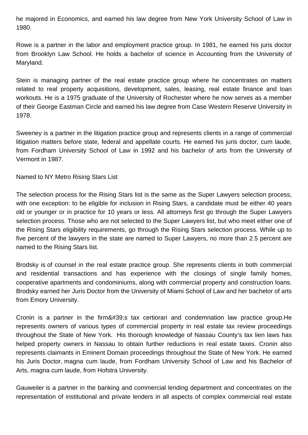he majored in Economics, and earned his law degree from New York University School of Law in 1980.

Rowe is a partner in the labor and employment practice group. In 1981, he earned his juris doctor from Brooklyn Law School. He holds a bachelor of science in Accounting from the University of Maryland.

Stein is managing partner of the real estate practice group where he concentrates on matters related to real property acquisitions, development, sales, leasing, real estate finance and loan workouts. He is a 1975 graduate of the University of Rochester where he now serves as a member of their George Eastman Circle and earned his law degree from Case Western Reserve University in 1978.

Sweeney is a partner in the litigation practice group and represents clients in a range of commercial litigation matters before state, federal and appellate courts. He earned his juris doctor, cum laude, from Fordham University School of Law in 1992 and his bachelor of arts from the University of Vermont in 1987.

Named to NY Metro Rising Stars List

The selection process for the Rising Stars list is the same as the Super Lawyers selection process, with one exception: to be eligible for inclusion in Rising Stars, a candidate must be either 40 years old or younger or in practice for 10 years or less. All attorneys first go through the Super Lawyers selection process. Those who are not selected to the Super Lawyers list, but who meet either one of the Rising Stars eligibility requirements, go through the Rising Stars selection process. While up to five percent of the lawyers in the state are named to Super Lawyers, no more than 2.5 percent are named to the Rising Stars list.

Brodsky is of counsel in the real estate practice group. She represents clients in both commercial and residential transactions and has experience with the closings of single family homes, cooperative apartments and condominiums, along with commercial property and construction loans. Brodsky earned her Juris Doctor from the University of Miami School of Law and her bachelor of arts from Emory University.

Cronin is a partner in the firm ' tax certiorari and condemnation law practice group. He represents owners of various types of commercial property in real estate tax review proceedings throughout the State of New York. His thorough knowledge of Nassau County's tax lien laws has helped property owners in Nassau to obtain further reductions in real estate taxes. Cronin also represents claimants in Eminent Domain proceedings throughout the State of New York. He earned his Juris Doctor, magna cum laude, from Fordham University School of Law and his Bachelor of Arts, magna cum laude, from Hofstra University.

Gauweiler is a partner in the banking and commercial lending department and concentrates on the representation of institutional and private lenders in all aspects of complex commercial real estate